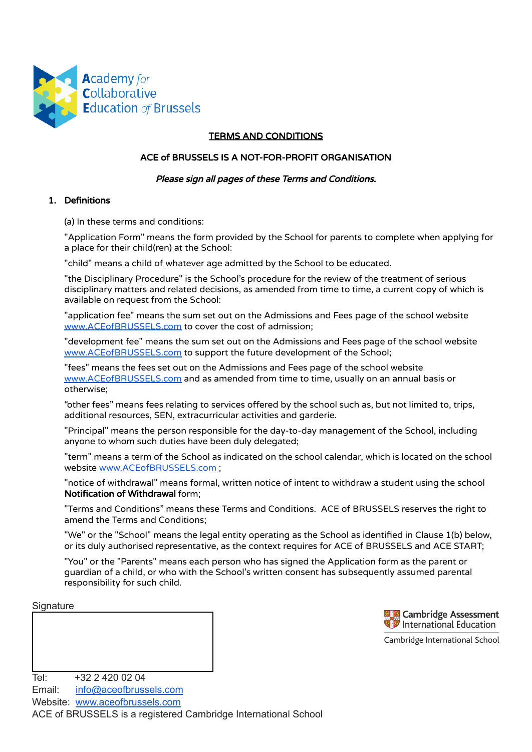

## TERMS AND CONDITIONS

## ACE of BRUSSELS IS A NOT-FOR-PROFIT ORGANISATION

### Please sign all pages of these Terms and Conditions.

## 1. Definitions

(a) In these terms and conditions:

"Application Form" means the form provided by the School for parents to complete when applying for a place for their child(ren) at the School:

"child" means a child of whatever age admitted by the School to be educated.

"the Disciplinary Procedure" is the School's procedure for the review of the treatment of serious disciplinary matters and related decisions, as amended from time to time, a current copy of which is available on request from the School:

"application fee" means the sum set out on the Admissions and Fees page of the school website [www.ACEofBRUSSELS.com](http://www.aceofbrussels.com/#!admissions-and-fees/c1ylq) to cover the cost of admission;

"development fee" means the sum set out on the Admissions and Fees page of the school website [www.ACEofBRUSSELS.com](http://www.aceofbrussels.com/#!admissions-and-fees/c1ylq) to support the future development of the School;

"fees" means the fees set out on the Admissions and Fees page of the school website [www.ACEofBRUSSELS.com](http://www.aceofbrussels.com/#!admissions-and-fees/c1ylq) and as amended from time to time, usually on an annual basis or otherwise;

"other fees" means fees relating to services offered by the school such as, but not limited to, trips, additional resources, SEN, extracurricular activities and garderie.

"Principal" means the person responsible for the day-to-day management of the School, including anyone to whom such duties have been duly delegated;

"term" means a term of the School as indicated on the school calendar, which is located on the school website [www.ACEofBRUSSELS.com](http://www.aceofbrussels.com/#!term-dates/fh0ju) ;

"notice of withdrawal" means formal, written notice of intent to withdraw a student using the school Notification of Withdrawal form;

"Terms and Conditions" means these Terms and Conditions. ACE of BRUSSELS reserves the right to amend the Terms and Conditions;

"We" or the "School" means the legal entity operating as the School as identified in Clause 1(b) below, or its duly authorised representative, as the context requires for ACE of BRUSSELS and ACE START;

"You" or the "Parents" means each person who has signed the Application form as the parent or guardian of a child, or who with the School's written consent has subsequently assumed parental responsibility for such child.

### **Signature**



Cambridge International School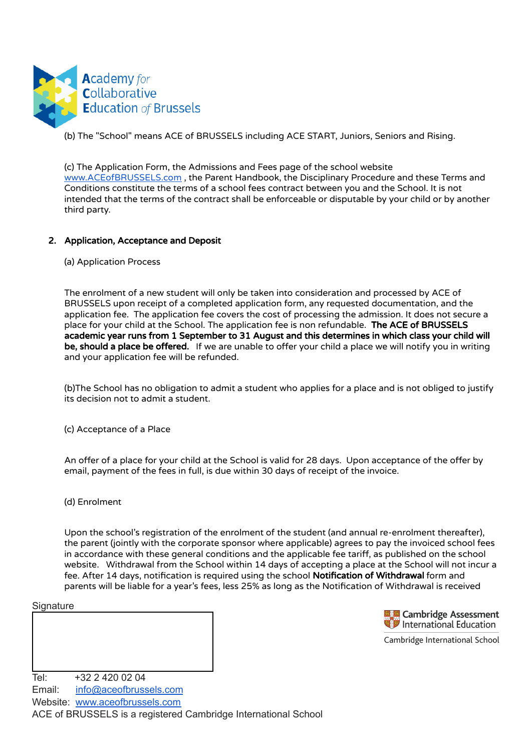

(b) The "School" means ACE of BRUSSELS including ACE START, Juniors, Seniors and Rising.

(c) The Application Form, the Admissions and Fees page of the school website [www.ACEofBRUSSELS.com](http://www.aceofbrussels.com/#!admissions-and-fees/c1ylq) , the Parent Handbook, the Disciplinary Procedure and these Terms and Conditions constitute the terms of a school fees contract between you and the School. It is not intended that the terms of the contract shall be enforceable or disputable by your child or by another third party.

# 2. Application, Acceptance and Deposit

(a) Application Process

The enrolment of a new student will only be taken into consideration and processed by ACE of BRUSSELS upon receipt of a completed application form, any requested documentation, and the application fee. The application fee covers the cost of processing the admission. It does not secure a place for your child at the School. The application fee is non refundable. The ACE of BRUSSELS academic year runs from 1 September to 31 August and this determines in which class your child will be, should a place be offered. If we are unable to offer your child a place we will notify you in writing and your application fee will be refunded.

(b)The School has no obligation to admit a student who applies for a place and is not obliged to justify its decision not to admit a student.

(c) Acceptance of a Place

An offer of a place for your child at the School is valid for 28 days. Upon acceptance of the offer by email, payment of the fees in full, is due within 30 days of receipt of the invoice.

(d) Enrolment

Upon the school's registration of the enrolment of the student (and annual re-enrolment thereafter), the parent (jointly with the corporate sponsor where applicable) agrees to pay the invoiced school fees in accordance with these general conditions and the applicable fee tariff, as published on the school website. Withdrawal from the School within 14 days of accepting a place at the School will not incur a fee. After 14 days, notification is required using the school Notification of Withdrawal form and parents will be liable for a year's fees, less 25% as long as the Notification of Withdrawal is received

### **Signature**



Cambridge International School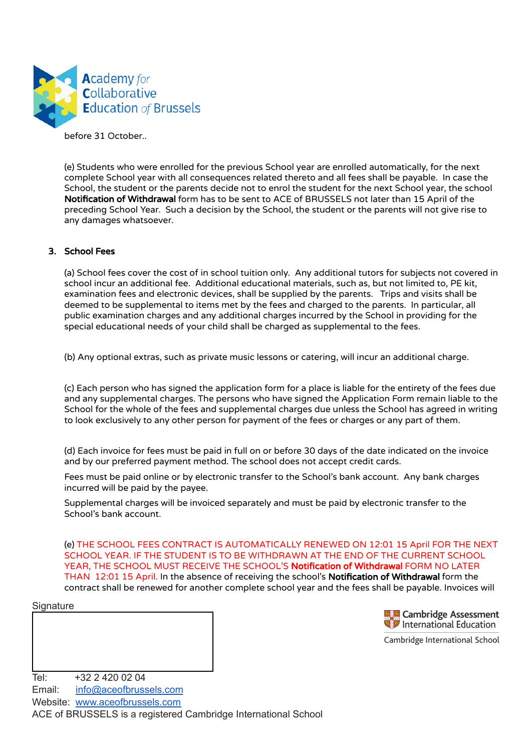

before 31 October..

(e) Students who were enrolled for the previous School year are enrolled automatically, for the next complete School year with all consequences related thereto and all fees shall be payable. In case the School, the student or the parents decide not to enrol the student for the next School year, the school Notification of Withdrawal form has to be sent to ACE of BRUSSELS not later than 15 April of the preceding School Year. Such a decision by the School, the student or the parents will not give rise to any damages whatsoever.

### 3. School Fees

(a) School fees cover the cost of in school tuition only. Any additional tutors for subjects not covered in school incur an additional fee. Additional educational materials, such as, but not limited to, PE kit, examination fees and electronic devices, shall be supplied by the parents. Trips and visits shall be deemed to be supplemental to items met by the fees and charged to the parents. In particular, all public examination charges and any additional charges incurred by the School in providing for the special educational needs of your child shall be charged as supplemental to the fees.

(b) Any optional extras, such as private music lessons or catering, will incur an additional charge.

(c) Each person who has signed the application form for a place is liable for the entirety of the fees due and any supplemental charges. The persons who have signed the Application Form remain liable to the School for the whole of the fees and supplemental charges due unless the School has agreed in writing to look exclusively to any other person for payment of the fees or charges or any part of them.

(d) Each invoice for fees must be paid in full on or before 30 days of the date indicated on the invoice and by our preferred payment method. The school does not accept credit cards.

Fees must be paid online or by electronic transfer to the School's bank account. Any bank charges incurred will be paid by the payee.

Supplemental charges will be invoiced separately and must be paid by electronic transfer to the School's bank account.

(e) THE SCHOOL FEES CONTRACT IS AUTOMATICALLY RENEWED ON 12:01 15 April FOR THE NEXT SCHOOL YEAR. IF THE STUDENT IS TO BE WITHDRAWN AT THE END OF THE CURRENT SCHOOL YEAR, THE SCHOOL MUST RECEIVE THE SCHOOL'S Notification of Withdrawal FORM NO LATER THAN 12:01 15 April. In the absence of receiving the school's Notification of Withdrawal form the contract shall be renewed for another complete school year and the fees shall be payable. Invoices will

### **Signature**

**Example 2** Cambridge Assessment<br>**B** International Education

Cambridge International School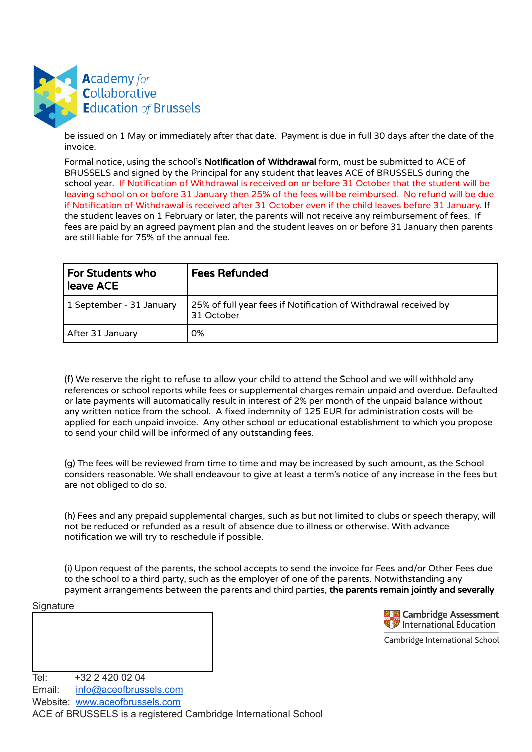

be issued on 1 May or immediately after that date. Payment is due in full 30 days after the date of the invoice.

Formal notice, using the school's Notification of Withdrawal form, must be submitted to ACE of BRUSSELS and signed by the Principal for any student that leaves ACE of BRUSSELS during the school year. If Notification of Withdrawal is received on or before 31 October that the student will be leaving school on or before 31 January then 25% of the fees will be reimbursed. No refund will be due if Notification of Withdrawal is received after 31 October even if the child leaves before 31 January. If the student leaves on 1 February or later, the parents will not receive any reimbursement of fees. If fees are paid by an agreed payment plan and the student leaves on or before 31 January then parents are still liable for 75% of the annual fee.

| <b>For Students who</b><br>leave ACE | <b>Fees Refunded</b>                                                          |
|--------------------------------------|-------------------------------------------------------------------------------|
| 1 September - 31 January             | 25% of full year fees if Notification of Withdrawal received by<br>31 October |
| After 31 January                     | 0%                                                                            |

(f) We reserve the right to refuse to allow your child to attend the School and we will withhold any references or school reports while fees or supplemental charges remain unpaid and overdue. Defaulted or late payments will automatically result in interest of 2% per month of the unpaid balance without any written notice from the school. A fixed indemnity of 125 EUR for administration costs will be applied for each unpaid invoice. Any other school or educational establishment to which you propose to send your child will be informed of any outstanding fees.

(g) The fees will be reviewed from time to time and may be increased by such amount, as the School considers reasonable. We shall endeavour to give at least a term's notice of any increase in the fees but are not obliged to do so.

(h) Fees and any prepaid supplemental charges, such as but not limited to clubs or speech therapy, will not be reduced or refunded as a result of absence due to illness or otherwise. With advance notification we will try to reschedule if possible.

(i) Upon request of the parents, the school accepts to send the invoice for Fees and/or Other Fees due to the school to a third party, such as the employer of one of the parents. Notwithstanding any payment arrangements between the parents and third parties, the parents remain jointly and severally

### **Signature**



Cambridge International School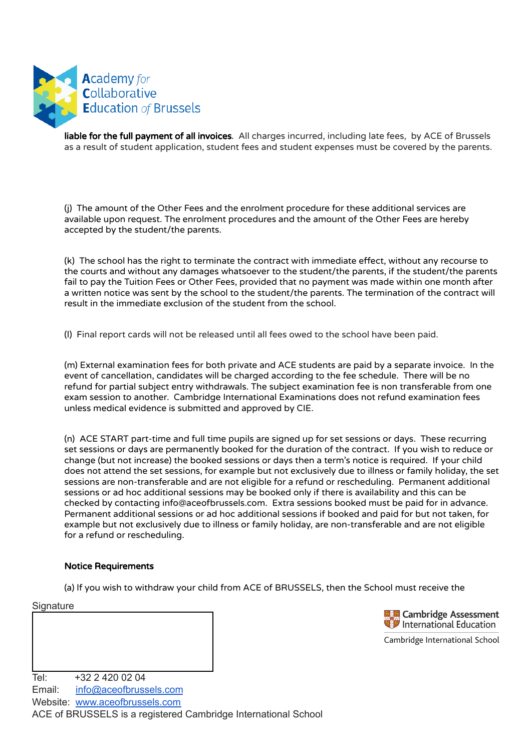

liable for the full payment of all invoices. All charges incurred, including late fees, by ACE of Brussels as a result of student application, student fees and student expenses must be covered by the parents.

(j) The amount of the Other Fees and the enrolment procedure for these additional services are available upon request. The enrolment procedures and the amount of the Other Fees are hereby accepted by the student/the parents.

(k) The school has the right to terminate the contract with immediate effect, without any recourse to the courts and without any damages whatsoever to the student/the parents, if the student/the parents fail to pay the Tuition Fees or Other Fees, provided that no payment was made within one month after a written notice was sent by the school to the student/the parents. The termination of the contract will result in the immediate exclusion of the student from the school.

(l) Final report cards will not be released until all fees owed to the school have been paid.

(m) External examination fees for both private and ACE students are paid by a separate invoice. In the event of cancellation, candidates will be charged according to the fee schedule. There will be no refund for partial subject entry withdrawals. The subject examination fee is non transferable from one exam session to another. Cambridge International Examinations does not refund examination fees unless medical evidence is submitted and approved by CIE.

(n) ACE START part-time and full time pupils are signed up for set sessions or days. These recurring set sessions or days are permanently booked for the duration of the contract. If you wish to reduce or change (but not increase) the booked sessions or days then a term's notice is required. If your child does not attend the set sessions, for example but not exclusively due to illness or family holiday, the set sessions are non-transferable and are not eligible for a refund or rescheduling. Permanent additional sessions or ad hoc additional sessions may be booked only if there is availability and this can be checked by contacting info@aceofbrussels.com. Extra sessions booked must be paid for in advance. Permanent additional sessions or ad hoc additional sessions if booked and paid for but not taken, for example but not exclusively due to illness or family holiday, are non-transferable and are not eligible for a refund or rescheduling.

### Notice Requirements

(a) lf you wish to withdraw your child from ACE of BRUSSELS, then the School must receive the

**Signature** 

**Cambridge Assessment** International Education

Cambridge International School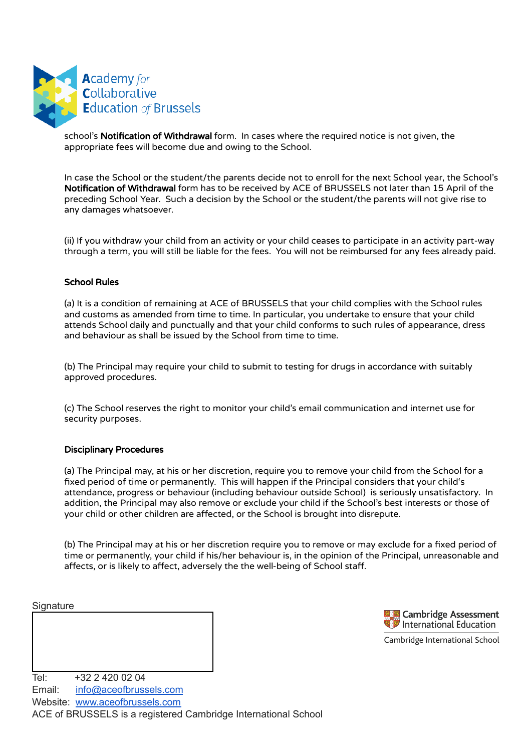

school's Notification of Withdrawal form. In cases where the required notice is not given, the appropriate fees will become due and owing to the School.

In case the School or the student/the parents decide not to enroll for the next School year, the School's Notification of Withdrawal form has to be received by ACE of BRUSSELS not later than 15 April of the preceding School Year. Such a decision by the School or the student/the parents will not give rise to any damages whatsoever.

(ii) If you withdraw your child from an activity or your child ceases to participate in an activity part-way through a term, you will still be liable for the fees. You will not be reimbursed for any fees already paid.

### School Rules

(a) It is a condition of remaining at ACE of BRUSSELS that your child complies with the School rules and customs as amended from time to time. In particular, you undertake to ensure that your child attends School daily and punctually and that your child conforms to such rules of appearance, dress and behaviour as shall be issued by the School from time to time.

(b) The Principal may require your child to submit to testing for drugs in accordance with suitably approved procedures.

(c) The School reserves the right to monitor your child's email communication and internet use for security purposes.

### Disciplinary Procedures

(a) The Principal may, at his or her discretion, require you to remove your child from the School for a fixed period of time or permanently. This will happen if the Principal considers that your child's attendance, progress or behaviour (including behaviour outside School) is seriously unsatisfactory. In addition, the Principal may also remove or exclude your child if the School's best interests or those of your child or other children are affected, or the School is brought into disrepute.

(b) The Principal may at his or her discretion require you to remove or may exclude for a fixed period of time or permanently, your child if his/her behaviour is, in the opinion of the Principal, unreasonable and affects, or is likely to affect, adversely the the well-being of School staff.

**Signature** 



Cambridge International School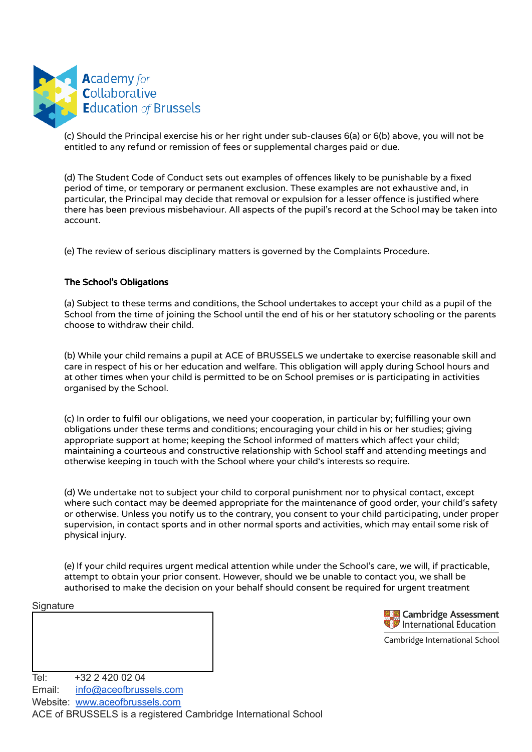

(c) Should the Principal exercise his or her right under sub-clauses 6(a) or 6(b) above, you will not be entitled to any refund or remission of fees or supplemental charges paid or due.

(d) The Student Code of Conduct sets out examples of offences likely to be punishable by a fixed period of time, or temporary or permanent exclusion. These examples are not exhaustive and, in particular, the Principal may decide that removal or expulsion for a lesser offence is justified where there has been previous misbehaviour. All aspects of the pupil's record at the School may be taken into account.

(e) The review of serious disciplinary matters is governed by the Complaints Procedure.

## The School's Obligations

(a) Subject to these terms and conditions, the School undertakes to accept your child as a pupil of the School from the time of joining the School until the end of his or her statutory schooling or the parents choose to withdraw their child.

(b) While your child remains a pupil at ACE of BRUSSELS we undertake to exercise reasonable skill and care in respect of his or her education and welfare. This obligation will apply during School hours and at other times when your child is permitted to be on School premises or is participating in activities organised by the School.

(c) In order to fulfil our obligations, we need your cooperation, in particular by; fulfilling your own obligations under these terms and conditions; encouraging your child in his or her studies; giving appropriate support at home; keeping the School informed of matters which affect your child; maintaining a courteous and constructive relationship with School staff and attending meetings and otherwise keeping in touch with the School where your child's interests so require.

(d) We undertake not to subject your child to corporal punishment nor to physical contact, except where such contact may be deemed appropriate for the maintenance of good order, your child's safety or otherwise. Unless you notify us to the contrary, you consent to your child participating, under proper supervision, in contact sports and in other normal sports and activities, which may entail some risk of physical injury.

(e) lf your child requires urgent medical attention while under the School's care, we will, if practicable, attempt to obtain your prior consent. However, should we be unable to contact you, we shall be authorised to make the decision on your behalf should consent be required for urgent treatment

### **Signature**



Cambridge International School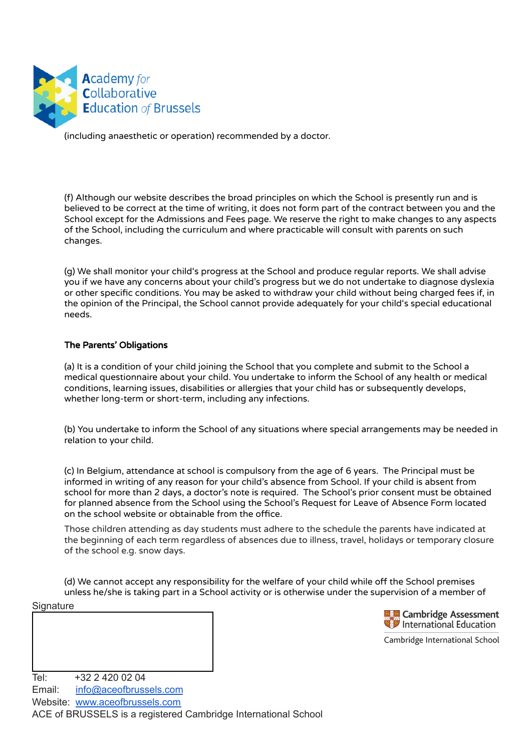

(including anaesthetic or operation) recommended by a doctor.

(f) Although our website describes the broad principles on which the School is presently run and is believed to be correct at the time of writing, it does not form part of the contract between you and the School except for the Admissions and Fees page. We reserve the right to make changes to any aspects of the School, including the curriculum and where practicable will consult with parents on such changes.

(g) We shall monitor your child's progress at the School and produce regular reports. We shall advise you if we have any concerns about your child's progress but we do not undertake to diagnose dyslexia or other specific conditions. You may be asked to withdraw your child without being charged fees if, in the opinion of the Principal, the School cannot provide adequately for your child's special educational needs.

### The Parents' Obligations

(a) It is a condition of your child joining the School that you complete and submit to the School a medical questionnaire about your child. You undertake to inform the School of any health or medical conditions, learning issues, disabilities or allergies that your child has or subsequently develops, whether long-term or short-term, including any infections.

(b) You undertake to inform the School of any situations where special arrangements may be needed in relation to your child.

(c) In Belgium, attendance at school is compulsory from the age of 6 years. The Principal must be informed in writing of any reason for your child's absence from School. If your child is absent from school for more than 2 days, a doctor's note is required. The School's prior consent must be obtained for planned absence from the School using the School's Request for Leave of Absence Form located on the school website or obtainable from the office.

Those children attending as day students must adhere to the schedule the parents have indicated at the beginning of each term regardless of absences due to illness, travel, holidays or temporary closure of the school e.g. snow days.

(d) We cannot accept any responsibility for the welfare of your child while off the School premises unless he/she is taking part in a School activity or is otherwise under the supervision of a member of

### **Signature**



Cambridge International School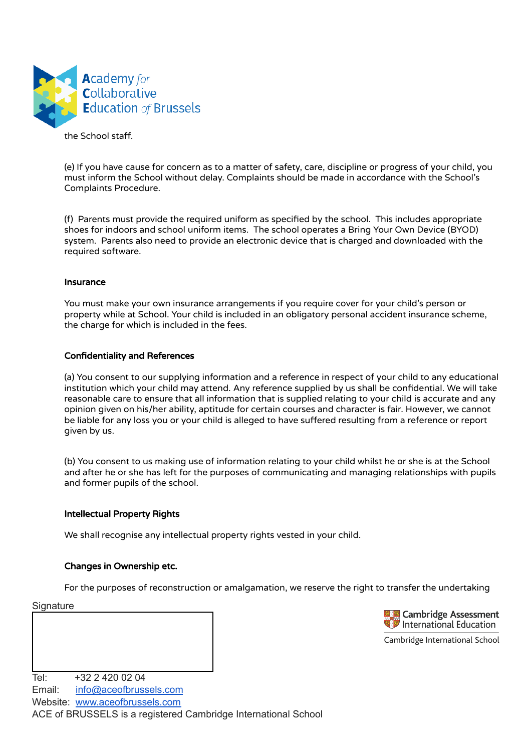

the School staff.

(e) If you have cause for concern as to a matter of safety, care, discipline or progress of your child, you must inform the School without delay. Complaints should be made in accordance with the School's Complaints Procedure.

(f) Parents must provide the required uniform as specified by the school. This includes appropriate shoes for indoors and school uniform items. The school operates a Bring Your Own Device (BYOD) system. Parents also need to provide an electronic device that is charged and downloaded with the required software.

### Insurance

You must make your own insurance arrangements if you require cover for your child's person or property while at School. Your child is included in an obligatory personal accident insurance scheme, the charge for which is included in the fees.

### Confidentiality and References

(a) You consent to our supplying information and a reference in respect of your child to any educational institution which your child may attend. Any reference supplied by us shall be confidential. We will take reasonable care to ensure that all information that is supplied relating to your child is accurate and any opinion given on his/her ability, aptitude for certain courses and character is fair. However, we cannot be liable for any loss you or your child is alleged to have suffered resulting from a reference or report given by us.

(b) You consent to us making use of information relating to your child whilst he or she is at the School and after he or she has left for the purposes of communicating and managing relationships with pupils and former pupils of the school.

## Intellectual Property Rights

We shall recognise any intellectual property rights vested in your child.

### Changes in Ownership etc.

For the purposes of reconstruction or amalgamation, we reserve the right to transfer the undertaking

### **Signature**



Cambridge International School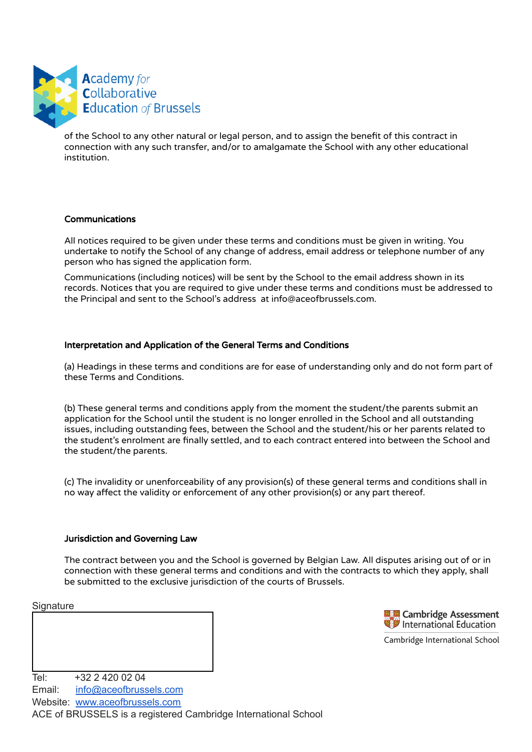

of the School to any other natural or legal person, and to assign the benefit of this contract in connection with any such transfer, and/or to amalgamate the School with any other educational institution.

## Communications

All notices required to be given under these terms and conditions must be given in writing. You undertake to notify the School of any change of address, email address or telephone number of any person who has signed the application form.

Communications (including notices) will be sent by the School to the email address shown in its records. Notices that you are required to give under these terms and conditions must be addressed to the Principal and sent to the School's address at info@aceofbrussels.com.

## Interpretation and Application of the General Terms and Conditions

(a) Headings in these terms and conditions are for ease of understanding only and do not form part of these Terms and Conditions.

(b) These general terms and conditions apply from the moment the student/the parents submit an application for the School until the student is no longer enrolled in the School and all outstanding issues, including outstanding fees, between the School and the student/his or her parents related to the student's enrolment are finally settled, and to each contract entered into between the School and the student/the parents.

(c) The invalidity or unenforceability of any provision(s) of these general terms and conditions shall in no way affect the validity or enforcement of any other provision(s) or any part thereof.

### Jurisdiction and Governing Law

The contract between you and the School is governed by Belgian Law. All disputes arising out of or in connection with these general terms and conditions and with the contracts to which they apply, shall be submitted to the exclusive jurisdiction of the courts of Brussels.

### **Signature**



Cambridge International School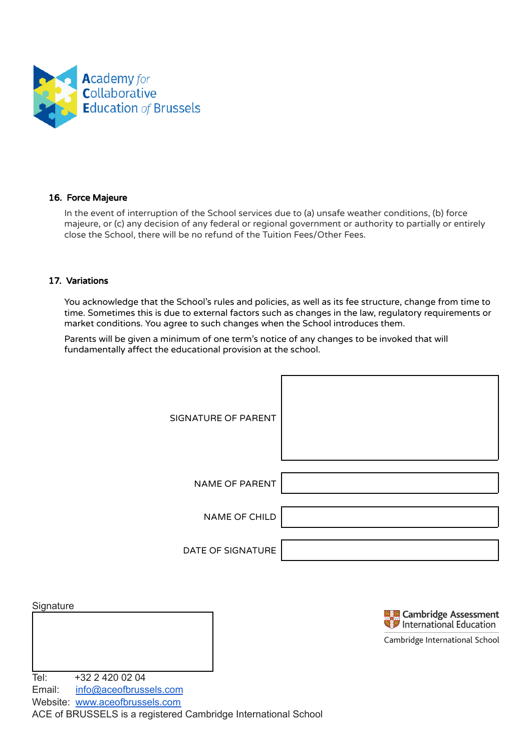

## 16. Force Majeure

In the event of interruption of the School services due to (a) unsafe weather conditions, (b) force majeure, or (c) any decision of any federal or regional government or authority to partially or entirely close the School, there will be no refund of the Tuition Fees/Other Fees.

### 17. Variations

You acknowledge that the School's rules and policies, as well as its fee structure, change from time to time. Sometimes this is due to external factors such as changes in the law, regulatory requirements or market conditions. You agree to such changes when the School introduces them.

Parents will be given a minimum of one term's notice of any changes to be invoked that will fundamentally affect the educational provision at the school.

| SIGNATURE OF PARENT |  |
|---------------------|--|
| NAME OF PARENT      |  |
| NAME OF CHILD       |  |
| DATE OF SIGNATURE   |  |

**Signature** 



Cambridge International School